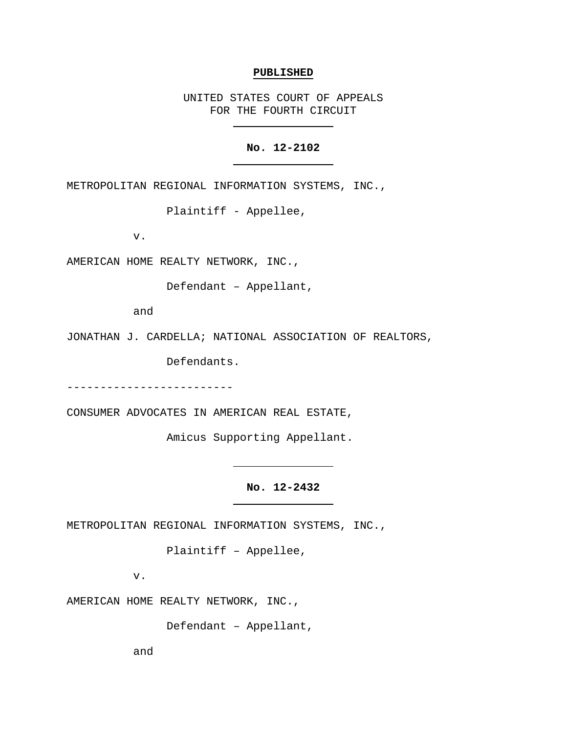#### **PUBLISHED**

UNITED STATES COURT OF APPEALS FOR THE FOURTH CIRCUIT

## **No. 12-2102**

METROPOLITAN REGIONAL INFORMATION SYSTEMS, INC.,

Plaintiff - Appellee,

v.

AMERICAN HOME REALTY NETWORK, INC.,

Defendant – Appellant,

and

JONATHAN J. CARDELLA; NATIONAL ASSOCIATION OF REALTORS,

Defendants.

-------------------------

CONSUMER ADVOCATES IN AMERICAN REAL ESTATE,

Amicus Supporting Appellant.

**No. 12-2432**

METROPOLITAN REGIONAL INFORMATION SYSTEMS, INC.,

Plaintiff – Appellee,

v.

AMERICAN HOME REALTY NETWORK, INC.,

Defendant – Appellant,

and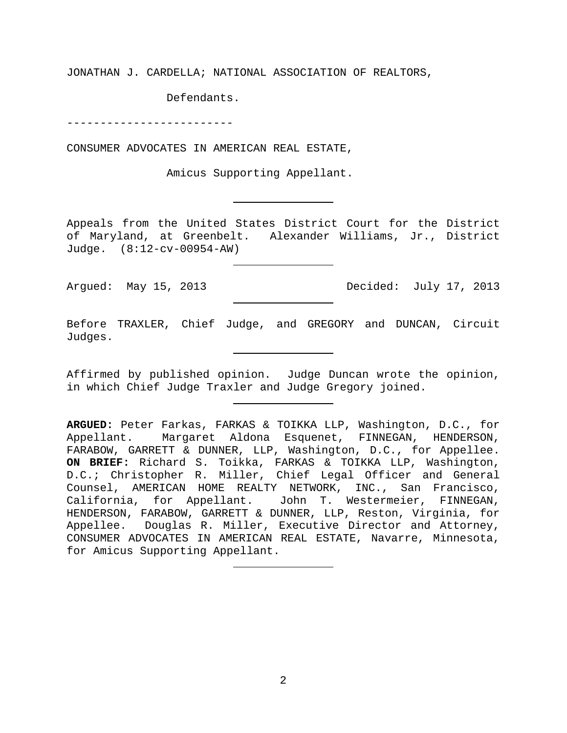JONATHAN J. CARDELLA; NATIONAL ASSOCIATION OF REALTORS,

Defendants.

-------------------------

CONSUMER ADVOCATES IN AMERICAN REAL ESTATE,

Amicus Supporting Appellant.

Appeals from the United States District Court for the District of Maryland, at Greenbelt. Alexander Williams, Jr., District Judge. (8:12-cv-00954-AW)

Argued: May 15, 2013 Decided: July 17, 2013

Before TRAXLER, Chief Judge, and GREGORY and DUNCAN, Circuit Judges.

Affirmed by published opinion. Judge Duncan wrote the opinion, in which Chief Judge Traxler and Judge Gregory joined.

**ARGUED:** Peter Farkas, FARKAS & TOIKKA LLP, Washington, D.C., for Appellant. Margaret Aldona Esquenet, FINNEGAN, HENDERSON, FARABOW, GARRETT & DUNNER, LLP, Washington, D.C., for Appellee. **ON BRIEF:** Richard S. Toikka, FARKAS & TOIKKA LLP, Washington, D.C.; Christopher R. Miller, Chief Legal Officer and General Counsel, AMERICAN HOME REALTY NETWORK, INC., San Francisco, California, for Appellant. John T. Westermeier, FINNEGAN, HENDERSON, FARABOW, GARRETT & DUNNER, LLP, Reston, Virginia, for Appellee. Douglas R. Miller, Executive Director and Attorney, CONSUMER ADVOCATES IN AMERICAN REAL ESTATE, Navarre, Minnesota, for Amicus Supporting Appellant.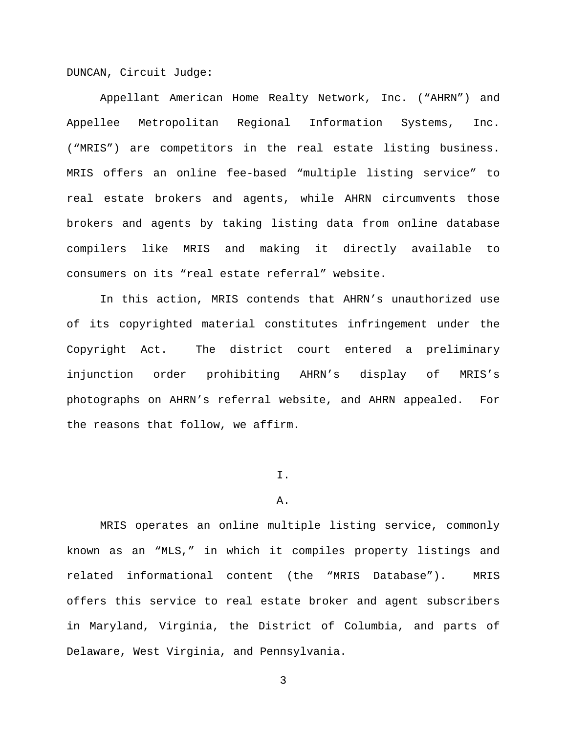DUNCAN, Circuit Judge:

Appellant American Home Realty Network, Inc. ("AHRN") and Appellee Metropolitan Regional Information Systems, Inc. ("MRIS") are competitors in the real estate listing business. MRIS offers an online fee-based "multiple listing service" to real estate brokers and agents, while AHRN circumvents those brokers and agents by taking listing data from online database compilers like MRIS and making it directly available to consumers on its "real estate referral" website.

In this action, MRIS contends that AHRN's unauthorized use of its copyrighted material constitutes infringement under the Copyright Act. The district court entered a preliminary injunction order prohibiting AHRN's display of MRIS's photographs on AHRN's referral website, and AHRN appealed. For the reasons that follow, we affirm.

#### I.

#### A.

MRIS operates an online multiple listing service, commonly known as an "MLS," in which it compiles property listings and related informational content (the "MRIS Database"). MRIS offers this service to real estate broker and agent subscribers in Maryland, Virginia, the District of Columbia, and parts of Delaware, West Virginia, and Pennsylvania.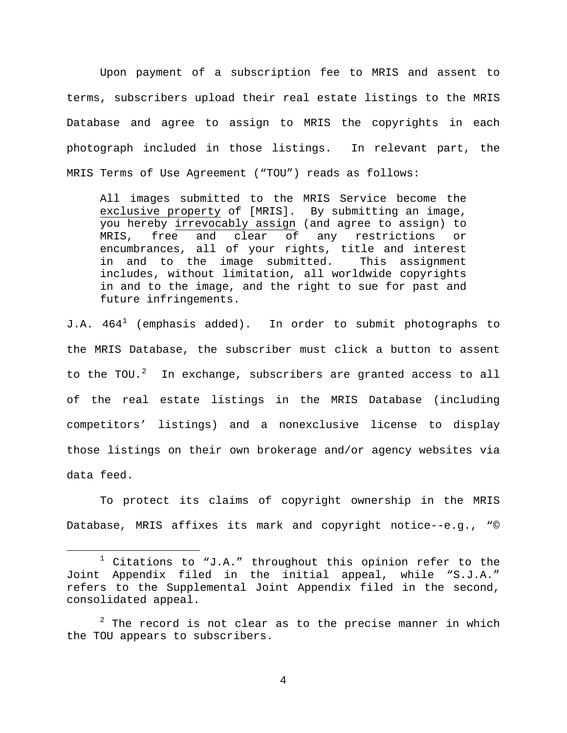Upon payment of a subscription fee to MRIS and assent to terms, subscribers upload their real estate listings to the MRIS Database and agree to assign to MRIS the copyrights in each photograph included in those listings. In relevant part, the MRIS Terms of Use Agreement ("TOU") reads as follows:

All images submitted to the MRIS Service become the exclusive property of [MRIS]. By submitting an image, you hereby irrevocably assign (and agree to assign) to MRIS, free and clear of any restrictions or encumbrances, all of your rights, title and interest in and to the image submitted. This assignment includes, without limitation, all worldwide copyrights in and to the image, and the right to sue for past and future infringements.

J.A.  $464<sup>1</sup>$  $464<sup>1</sup>$  $464<sup>1</sup>$  (emphasis added). In order to submit photographs to the MRIS Database, the subscriber must click a button to assent to the TOU. $^2$  $^2$  In exchange, subscribers are granted access to all of the real estate listings in the MRIS Database (including competitors' listings) and a nonexclusive license to display those listings on their own brokerage and/or agency websites via data feed.

To protect its claims of copyright ownership in the MRIS Database, MRIS affixes its mark and copyright notice--e.g., "©

<span id="page-3-0"></span> $1$  Citations to "J.A." throughout this opinion refer to the Joint Appendix filed in the initial appeal, while "S.J.A." refers to the Supplemental Joint Appendix filed in the second, consolidated appeal.

<span id="page-3-1"></span> $2$  The record is not clear as to the precise manner in which the TOU appears to subscribers.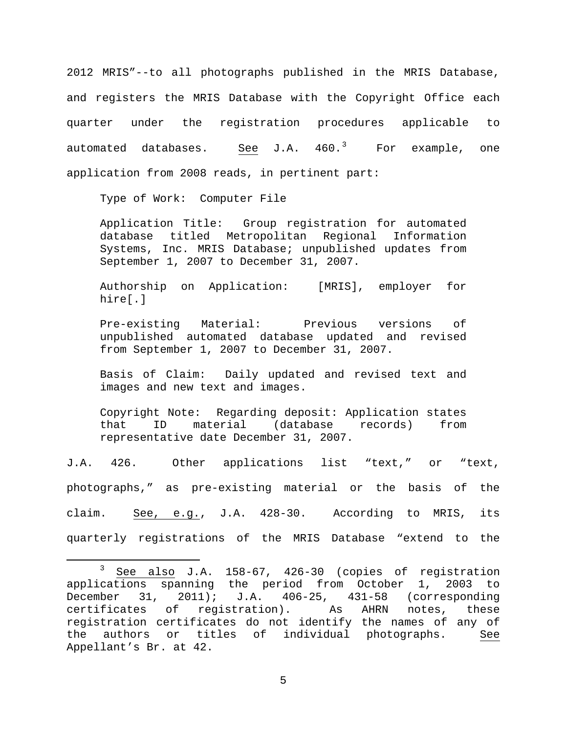2012 MRIS"--to all photographs published in the MRIS Database, and registers the MRIS Database with the Copyright Office each quarter under the registration procedures applicable to automated databases. See J.A. 460.<sup>[3](#page-4-0)</sup> For example, one application from 2008 reads, in pertinent part:

Type of Work: Computer File

Application Title: Group registration for automated<br>database titled Metropolitan Regional Information database titled Metropolitan Regional Systems, Inc. MRIS Database; unpublished updates from September 1, 2007 to December 31, 2007.

Authorship on Application: [MRIS], employer for hire[.]

Pre-existing Material: Previous versions of unpublished automated database updated and revised from September 1, 2007 to December 31, 2007.

Basis of Claim: Daily updated and revised text and images and new text and images.

Copyright Note: Regarding deposit: Application states<br>that ID material (database records) from that ID material (database records) from representative date December 31, 2007.

J.A. 426. Other applications list "text," or "text, photographs," as pre-existing material or the basis of the claim. See, e.g., J.A. 428-30. According to MRIS, its quarterly registrations of the MRIS Database "extend to the

<span id="page-4-0"></span> <sup>3</sup> See also J.A. 158-67, 426-30 (copies of registration applications spanning the period from October 1, 2003 to<br>December 31, 2011); J.A. 406-25, 431-58 (corresponding December 31, 2011); J.A. 406-25, 431-58 (corresponding<br>certificates of registration). As AHRN notes, these registration). registration certificates do not identify the names of any of the authors or titles of individual photographs. See Appellant's Br. at 42.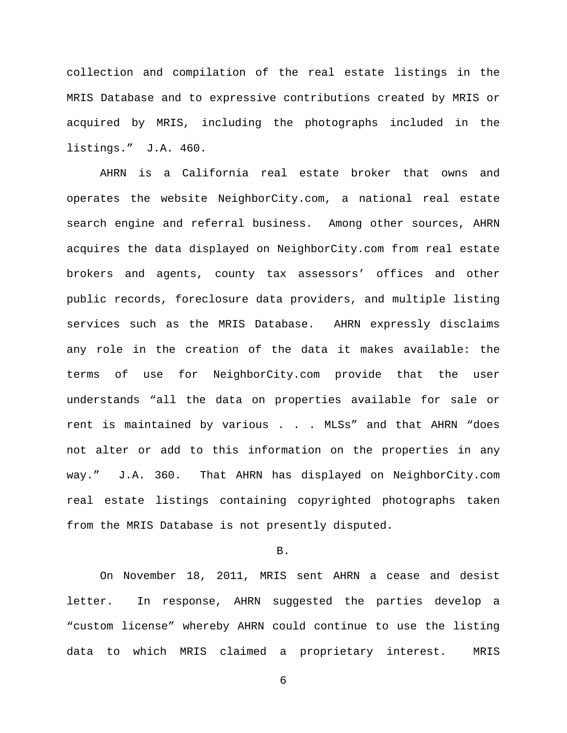collection and compilation of the real estate listings in the MRIS Database and to expressive contributions created by MRIS or acquired by MRIS, including the photographs included in the listings." J.A. 460.

AHRN is a California real estate broker that owns and operates the website NeighborCity.com, a national real estate search engine and referral business. Among other sources, AHRN acquires the data displayed on NeighborCity.com from real estate brokers and agents, county tax assessors' offices and other public records, foreclosure data providers, and multiple listing services such as the MRIS Database. AHRN expressly disclaims any role in the creation of the data it makes available: the terms of use for NeighborCity.com provide that the user understands "all the data on properties available for sale or rent is maintained by various . . . MLSs" and that AHRN "does not alter or add to this information on the properties in any way." J.A. 360. That AHRN has displayed on NeighborCity.com real estate listings containing copyrighted photographs taken from the MRIS Database is not presently disputed.

B.

On November 18, 2011, MRIS sent AHRN a cease and desist letter. In response, AHRN suggested the parties develop a "custom license" whereby AHRN could continue to use the listing data to which MRIS claimed a proprietary interest. MRIS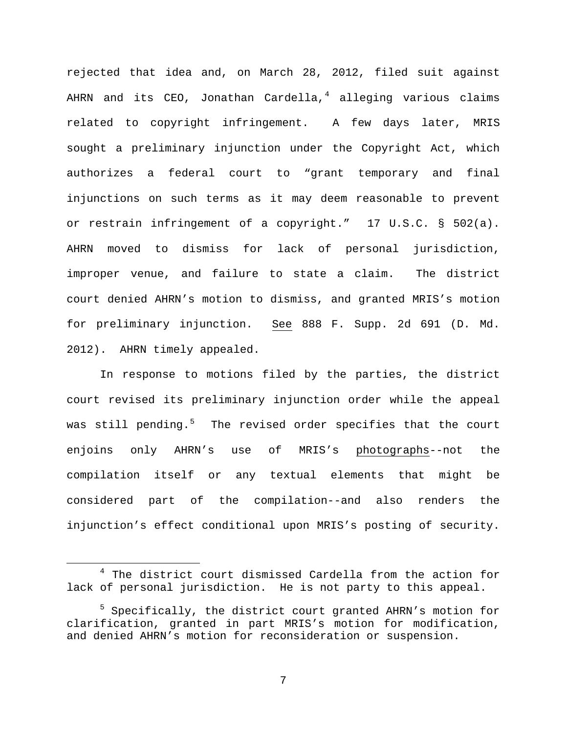rejected that idea and, on March 28, 2012, filed suit against AHRN and its  $CEO$ , Jonathan Cardella,<sup>[4](#page-6-0)</sup> alleging various claims related to copyright infringement. A few days later, MRIS sought a preliminary injunction under the Copyright Act, which authorizes a federal court to "grant temporary and final injunctions on such terms as it may deem reasonable to prevent or restrain infringement of a copyright." 17 U.S.C. § 502(a). AHRN moved to dismiss for lack of personal jurisdiction, improper venue, and failure to state a claim. The district court denied AHRN's motion to dismiss, and granted MRIS's motion for preliminary injunction. See 888 F. Supp. 2d 691 (D. Md. 2012). AHRN timely appealed.

In response to motions filed by the parties, the district court revised its preliminary injunction order while the appeal was still pending.<sup>[5](#page-6-1)</sup> The revised order specifies that the court enjoins only AHRN's use of MRIS's photographs--not the compilation itself or any textual elements that might be considered part of the compilation--and also renders the injunction's effect conditional upon MRIS's posting of security.

<span id="page-6-0"></span><sup>&</sup>lt;sup>4</sup> The district court dismissed Cardella from the action for lack of personal jurisdiction. He is not party to this appeal.

<span id="page-6-1"></span><sup>5</sup> Specifically, the district court granted AHRN's motion for clarification, granted in part MRIS's motion for modification, and denied AHRN's motion for reconsideration or suspension.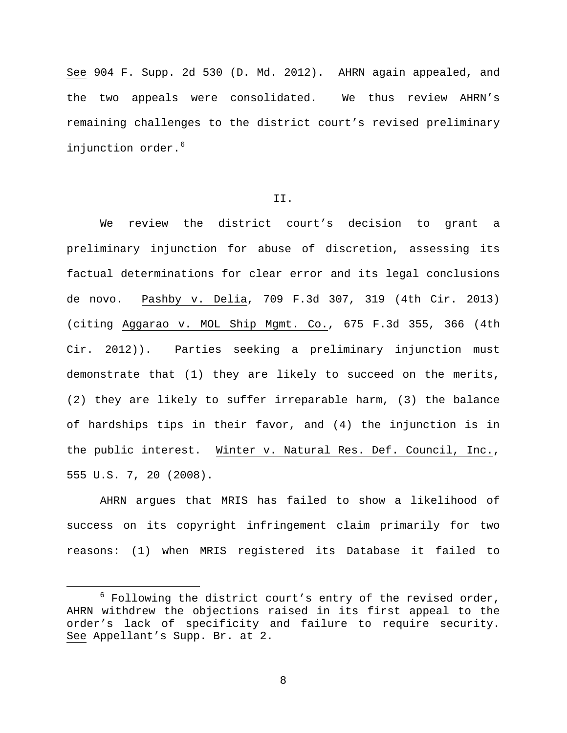See 904 F. Supp. 2d 530 (D. Md. 2012). AHRN again appealed, and the two appeals were consolidated. We thus review AHRN's remaining challenges to the district court's revised preliminary injunction order.<sup>[6](#page-7-0)</sup>

### II.

We review the district court's decision to grant a preliminary injunction for abuse of discretion, assessing its factual determinations for clear error and its legal conclusions de novo. Pashby v. Delia, 709 F.3d 307, 319 (4th Cir. 2013) (citing Aggarao v. MOL Ship Mgmt. Co., 675 F.3d 355, 366 (4th Cir. 2012)). Parties seeking a preliminary injunction must demonstrate that (1) they are likely to succeed on the merits, (2) they are likely to suffer irreparable harm, (3) the balance of hardships tips in their favor, and (4) the injunction is in the public interest. Winter v. Natural Res. Def. Council, Inc., 555 U.S. 7, 20 (2008).

AHRN argues that MRIS has failed to show a likelihood of success on its copyright infringement claim primarily for two reasons: (1) when MRIS registered its Database it failed to

<span id="page-7-0"></span> $6$  Following the district court's entry of the revised order, AHRN withdrew the objections raised in its first appeal to the order's lack of specificity and failure to require security. See Appellant's Supp. Br. at 2.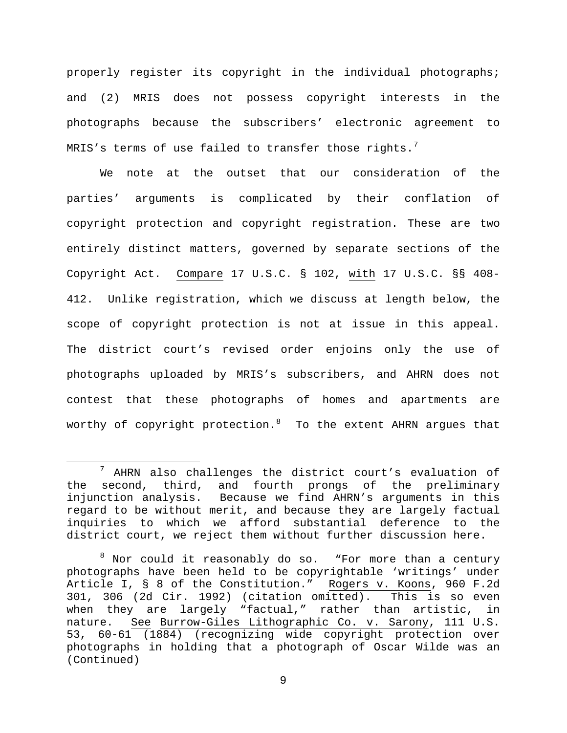properly register its copyright in the individual photographs; and (2) MRIS does not possess copyright interests in the photographs because the subscribers' electronic agreement to MRIS's terms of use failed to transfer those rights.<sup>[7](#page-8-0)</sup>

We note at the outset that our consideration of the parties' arguments is complicated by their conflation of copyright protection and copyright registration. These are two entirely distinct matters, governed by separate sections of the Copyright Act. Compare 17 U.S.C. § 102, with 17 U.S.C. §§ 408- 412. Unlike registration, which we discuss at length below, the scope of copyright protection is not at issue in this appeal. The district court's revised order enjoins only the use of photographs uploaded by MRIS's subscribers, and AHRN does not contest that these photographs of homes and apartments are worthy of copyright protection.<sup>[8](#page-8-1)</sup> To the extent AHRN argues that

<span id="page-8-0"></span> <sup>7</sup> AHRN also challenges the district court's evaluation of the second, third, and fourth prongs of the preliminary injunction analysis. Because we find AHRN's arguments in this regard to be without merit, and because they are largely factual inquiries to which we afford substantial deference to the district court, we reject them without further discussion here.

<span id="page-8-1"></span> $8$  Nor could it reasonably do so. "For more than a century photographs have been held to be copyrightable 'writings' under Article I, § 8 of the Constitution." Rogers v. Koons, 960 F.2d 301, 306 (2d Cir. 1992) (citation omitted). This is so even when they are largely "factual," rather than artistic, in nature. See Burrow-Giles Lithographic Co. v. Sarony, 111 U.S. 53, 60-61 (1884) (recognizing wide copyright protection over photographs in holding that a photograph of Oscar Wilde was an (Continued)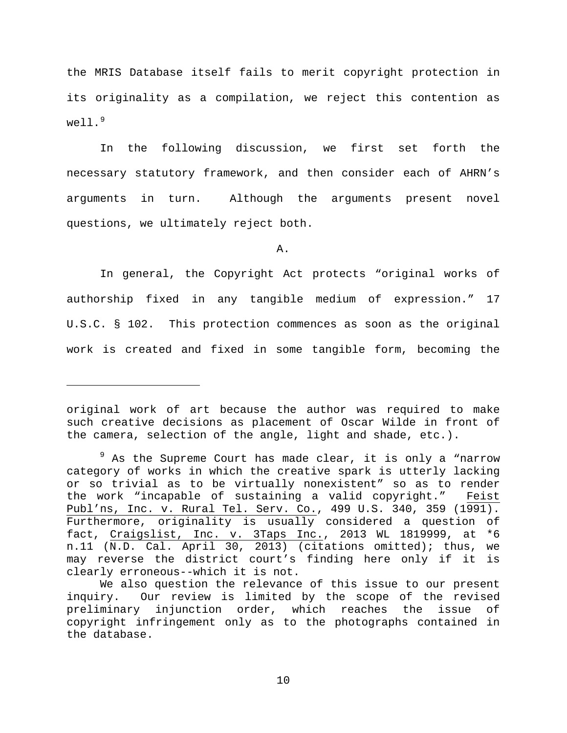the MRIS Database itself fails to merit copyright protection in its originality as a compilation, we reject this contention as well. $9$ 

In the following discussion, we first set forth the necessary statutory framework, and then consider each of AHRN's arguments in turn. Although the arguments present novel questions, we ultimately reject both.

A.

In general, the Copyright Act protects "original works of authorship fixed in any tangible medium of expression." 17 U.S.C. § 102. This protection commences as soon as the original work is created and fixed in some tangible form, becoming the

ī

original work of art because the author was required to make such creative decisions as placement of Oscar Wilde in front of the camera, selection of the angle, light and shade, etc.).

<span id="page-9-0"></span> $9$  As the Supreme Court has made clear, it is only a "narrow category of works in which the creative spark is utterly lacking or so trivial as to be virtually nonexistent" so as to render<br>the work "incapable of sustaining a valid copyright." Feist the work "incapable of sustaining a valid copyright." Publ'ns, Inc. v. Rural Tel. Serv. Co., 499 U.S. 340, 359 (1991). Furthermore, originality is usually considered a question of fact, Craigslist, Inc. v. 3Taps Inc., 2013 WL 1819999, at \*6 n.11 (N.D. Cal. April 30, 2013) (citations omitted); thus, we may reverse the district court's finding here only if it is clearly erroneous--which it is not.

We also question the relevance of this issue to our present inquiry. Our review is limited by the scope of the revised<br>preliminary injunction order, which reaches the issue of preliminary injunction order, which reaches the copyright infringement only as to the photographs contained in the database.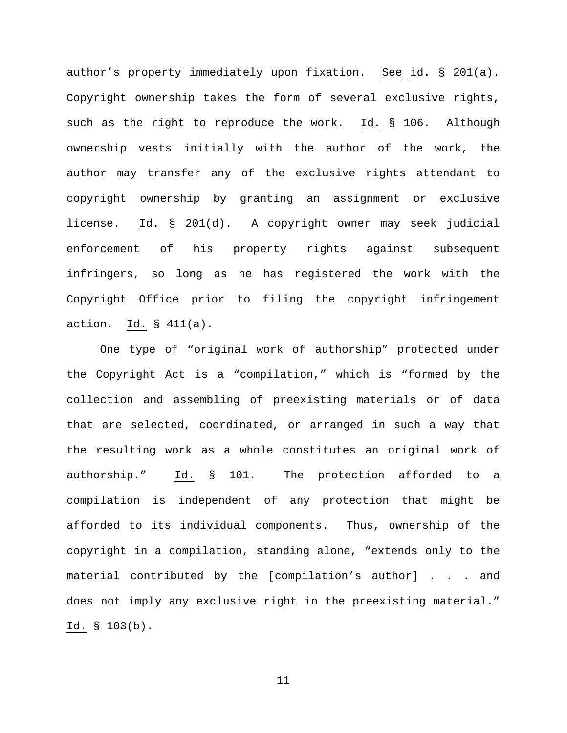author's property immediately upon fixation. See id. § 201(a). Copyright ownership takes the form of several exclusive rights, such as the right to reproduce the work. Id. § 106. Although ownership vests initially with the author of the work, the author may transfer any of the exclusive rights attendant to copyright ownership by granting an assignment or exclusive license. Id. § 201(d). A copyright owner may seek judicial enforcement of his property rights against subsequent infringers, so long as he has registered the work with the Copyright Office prior to filing the copyright infringement action. Id. § 411(a).

One type of "original work of authorship" protected under the Copyright Act is a "compilation," which is "formed by the collection and assembling of preexisting materials or of data that are selected, coordinated, or arranged in such a way that the resulting work as a whole constitutes an original work of authorship." Id. § 101. The protection afforded to a compilation is independent of any protection that might be afforded to its individual components. Thus, ownership of the copyright in a compilation, standing alone, "extends only to the material contributed by the [compilation's author] . . . and does not imply any exclusive right in the preexisting material." Id. § 103(b).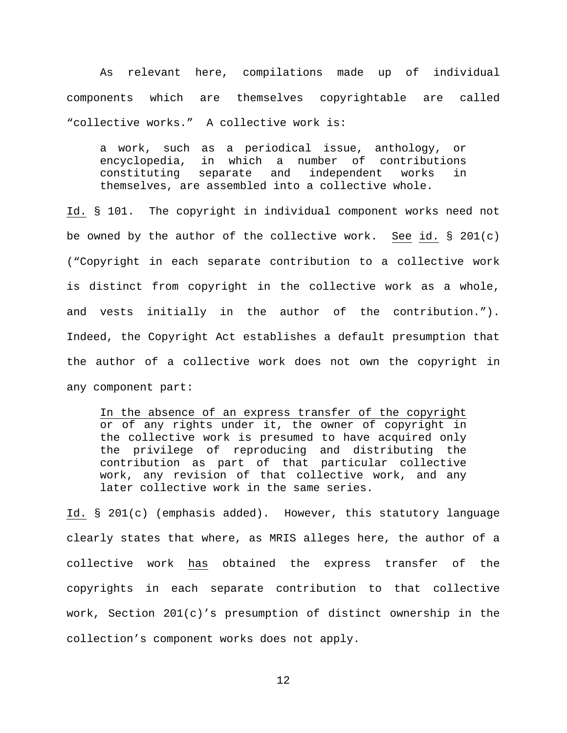As relevant here, compilations made up of individual components which are themselves copyrightable are called "collective works." A collective work is:

a work, such as a periodical issue, anthology, or encyclopedia, in which a number of contributions constituting separate and independent works in themselves, are assembled into a collective whole.

Id. § 101. The copyright in individual component works need not be owned by the author of the collective work. See id. § 201(c) ("Copyright in each separate contribution to a collective work is distinct from copyright in the collective work as a whole, and vests initially in the author of the contribution."). Indeed, the Copyright Act establishes a default presumption that the author of a collective work does not own the copyright in any component part:

In the absence of an express transfer of the copyright or of any rights under it, the owner of copyright in the collective work is presumed to have acquired only the privilege of reproducing and distributing the contribution as part of that particular collective work, any revision of that collective work, and any later collective work in the same series.

Id. § 201(c) (emphasis added). However, this statutory language clearly states that where, as MRIS alleges here, the author of a collective work has obtained the express transfer of the copyrights in each separate contribution to that collective work, Section 201(c)'s presumption of distinct ownership in the collection's component works does not apply.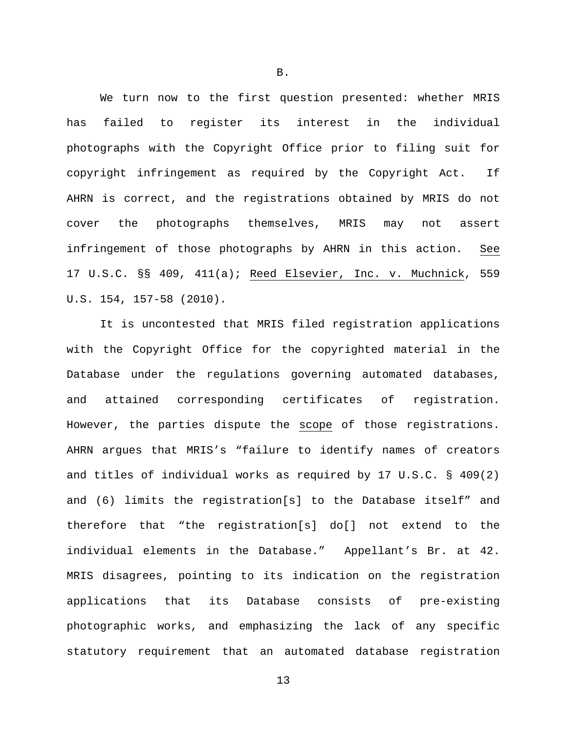We turn now to the first question presented: whether MRIS has failed to register its interest in the individual photographs with the Copyright Office prior to filing suit for copyright infringement as required by the Copyright Act. If AHRN is correct, and the registrations obtained by MRIS do not cover the photographs themselves, MRIS may not assert infringement of those photographs by AHRN in this action. See 17 U.S.C. §§ 409, 411(a); Reed Elsevier, Inc. v. Muchnick, 559 U.S. 154, 157-58 (2010).

It is uncontested that MRIS filed registration applications with the Copyright Office for the copyrighted material in the Database under the regulations governing automated databases, and attained corresponding certificates of registration. However, the parties dispute the scope of those registrations. AHRN argues that MRIS's "failure to identify names of creators and titles of individual works as required by 17 U.S.C. § 409(2) and (6) limits the registration[s] to the Database itself" and therefore that "the registration[s] do[] not extend to the individual elements in the Database." Appellant's Br. at 42. MRIS disagrees, pointing to its indication on the registration applications that its Database consists of pre-existing photographic works, and emphasizing the lack of any specific statutory requirement that an automated database registration

B.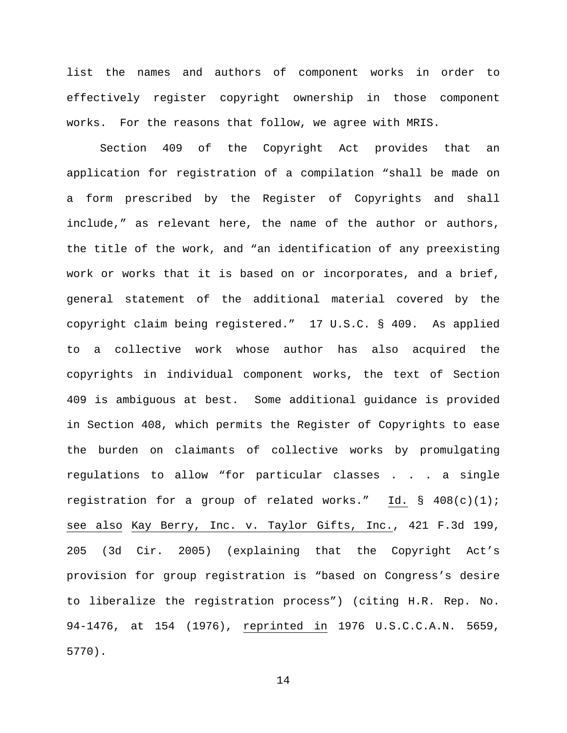list the names and authors of component works in order to effectively register copyright ownership in those component works. For the reasons that follow, we agree with MRIS.

Section 409 of the Copyright Act provides that an application for registration of a compilation "shall be made on a form prescribed by the Register of Copyrights and shall include," as relevant here, the name of the author or authors, the title of the work, and "an identification of any preexisting work or works that it is based on or incorporates, and a brief, general statement of the additional material covered by the copyright claim being registered." 17 U.S.C. § 409. As applied to a collective work whose author has also acquired the copyrights in individual component works, the text of Section 409 is ambiguous at best. Some additional guidance is provided in Section 408, which permits the Register of Copyrights to ease the burden on claimants of collective works by promulgating regulations to allow "for particular classes . . . a single registration for a group of related works." Id.  $\S$  408(c)(1); see also Kay Berry, Inc. v. Taylor Gifts, Inc., 421 F.3d 199, 205 (3d Cir. 2005) (explaining that the Copyright Act's provision for group registration is "based on Congress's desire to liberalize the registration process") (citing H.R. Rep. No. 94-1476, at 154 (1976), reprinted in 1976 U.S.C.C.A.N. 5659, 5770).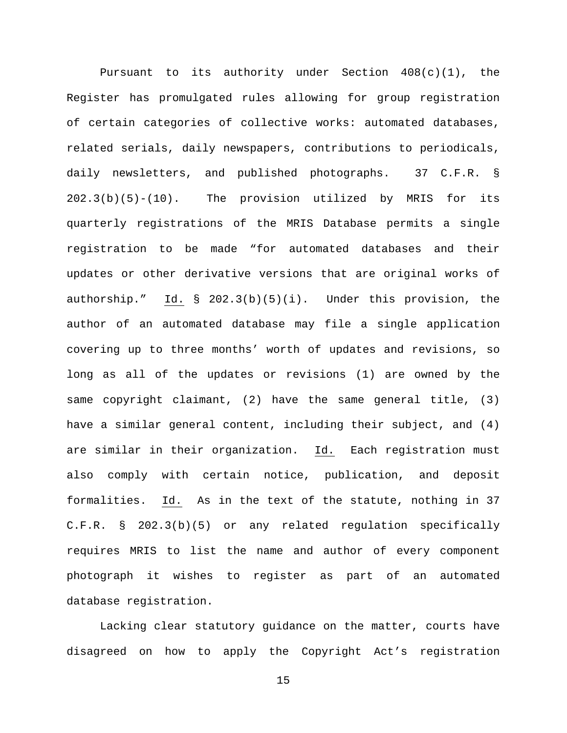Pursuant to its authority under Section  $408(c)(1)$ , the Register has promulgated rules allowing for group registration of certain categories of collective works: automated databases, related serials, daily newspapers, contributions to periodicals, daily newsletters, and published photographs. 37 C.F.R. § 202.3(b)(5)-(10). The provision utilized by MRIS for its quarterly registrations of the MRIS Database permits a single registration to be made "for automated databases and their updates or other derivative versions that are original works of authorship." Id.  $\S$  202.3(b)(5)(i). Under this provision, the author of an automated database may file a single application covering up to three months' worth of updates and revisions, so long as all of the updates or revisions (1) are owned by the same copyright claimant, (2) have the same general title, (3) have a similar general content, including their subject, and (4) are similar in their organization. Id. Each registration must also comply with certain notice, publication, and deposit formalities. Id. As in the text of the statute, nothing in 37 C.F.R. § 202.3(b)(5) or any related regulation specifically requires MRIS to list the name and author of every component photograph it wishes to register as part of an automated database registration.

Lacking clear statutory guidance on the matter, courts have disagreed on how to apply the Copyright Act's registration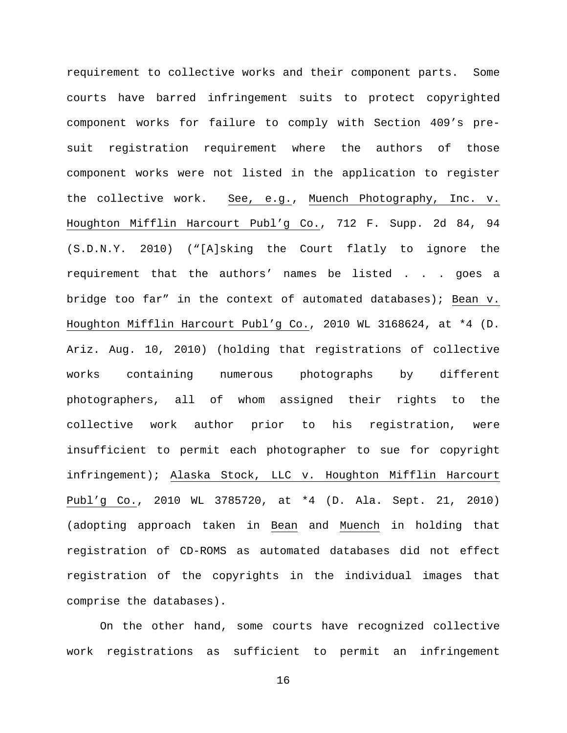requirement to collective works and their component parts. Some courts have barred infringement suits to protect copyrighted component works for failure to comply with Section 409's presuit registration requirement where the authors of those component works were not listed in the application to register the collective work. See, e.g., Muench Photography, Inc. v. Houghton Mifflin Harcourt Publ'g Co., 712 F. Supp. 2d 84, 94 (S.D.N.Y. 2010) ("[A]sking the Court flatly to ignore the requirement that the authors' names be listed . . . goes a bridge too far" in the context of automated databases); Bean v. Houghton Mifflin Harcourt Publ'g Co., 2010 WL 3168624, at \*4 (D. Ariz. Aug. 10, 2010) (holding that registrations of collective works containing numerous photographs by different photographers, all of whom assigned their rights to the collective work author prior to his registration, were insufficient to permit each photographer to sue for copyright infringement); Alaska Stock, LLC v. Houghton Mifflin Harcourt Publ'g Co., 2010 WL 3785720, at \*4 (D. Ala. Sept. 21, 2010) (adopting approach taken in Bean and Muench in holding that registration of CD-ROMS as automated databases did not effect registration of the copyrights in the individual images that comprise the databases).

On the other hand, some courts have recognized collective work registrations as sufficient to permit an infringement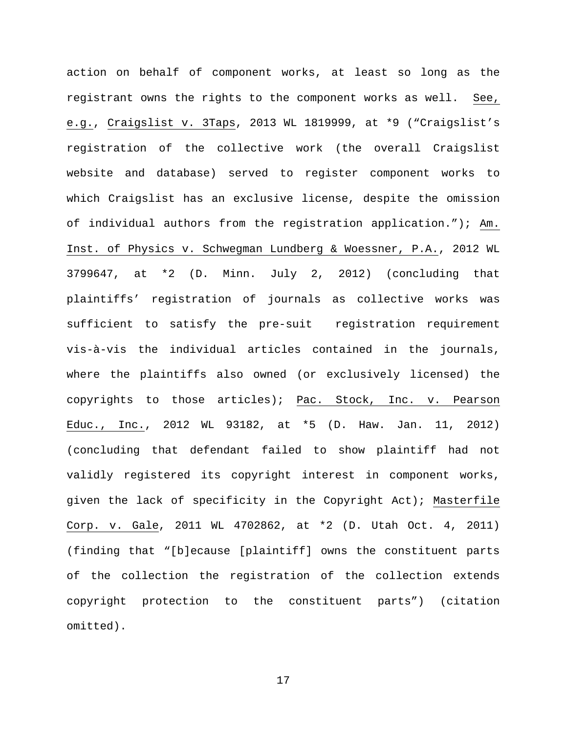action on behalf of component works, at least so long as the registrant owns the rights to the component works as well. See, e.g., Craigslist v. 3Taps, 2013 WL 1819999, at \*9 ("Craigslist's registration of the collective work (the overall Craigslist website and database) served to register component works to which Craigslist has an exclusive license, despite the omission of individual authors from the registration application."); Am. Inst. of Physics v. Schwegman Lundberg & Woessner, P.A., 2012 WL 3799647, at \*2 (D. Minn. July 2, 2012) (concluding that plaintiffs' registration of journals as collective works was sufficient to satisfy the pre-suit registration requirement vis-à-vis the individual articles contained in the journals, where the plaintiffs also owned (or exclusively licensed) the copyrights to those articles); Pac. Stock, Inc. v. Pearson Educ., Inc., 2012 WL 93182, at \*5 (D. Haw. Jan. 11, 2012) (concluding that defendant failed to show plaintiff had not validly registered its copyright interest in component works, given the lack of specificity in the Copyright Act); Masterfile Corp. v. Gale, 2011 WL 4702862, at \*2 (D. Utah Oct. 4, 2011) (finding that "[b]ecause [plaintiff] owns the constituent parts of the collection the registration of the collection extends copyright protection to the constituent parts") (citation omitted).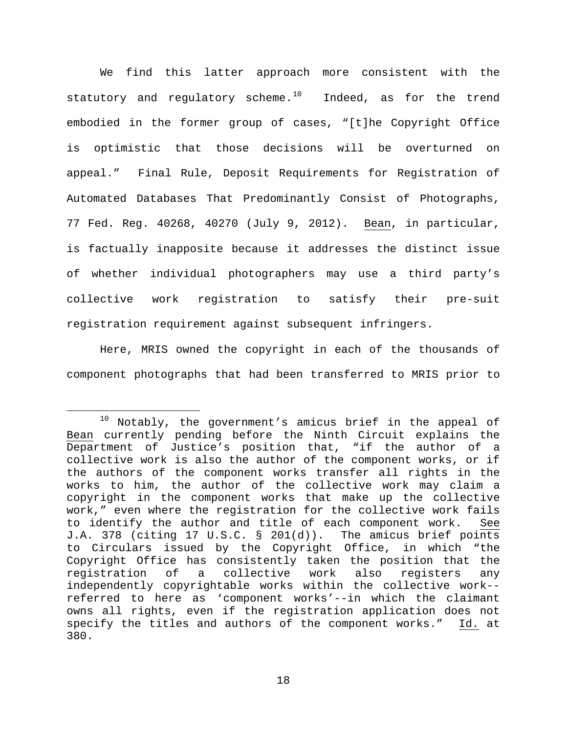We find this latter approach more consistent with the statutory and regulatory scheme. $10$  Indeed, as for the trend embodied in the former group of cases, "[t]he Copyright Office is optimistic that those decisions will be overturned on appeal." Final Rule, Deposit Requirements for Registration of Automated Databases That Predominantly Consist of Photographs, 77 Fed. Reg. 40268, 40270 (July 9, 2012). Bean, in particular, is factually inapposite because it addresses the distinct issue of whether individual photographers may use a third party's collective work registration to satisfy their pre-suit registration requirement against subsequent infringers.

Here, MRIS owned the copyright in each of the thousands of component photographs that had been transferred to MRIS prior to

<span id="page-17-0"></span> $10$  Notably, the government's amicus brief in the appeal of Bean currently pending before the Ninth Circuit explains the Department of Justice's position that, "if the author of a collective work is also the author of the component works, or if the authors of the component works transfer all rights in the works to him, the author of the collective work may claim a copyright in the component works that make up the collective work," even where the registration for the collective work fails to identify the author and title of each component work. See J.A. 378 (citing 17 U.S.C. § 201(d)). The amicus brief points to Circulars issued by the Copyright Office, in which "the Copyright Office has consistently taken the position that the<br>reqistration of a collective work also reqisters any of a collective work also reqisters independently copyrightable works within the collective work- referred to here as 'component works'--in which the claimant owns all rights, even if the registration application does not specify the titles and authors of the component works." Id. at 380.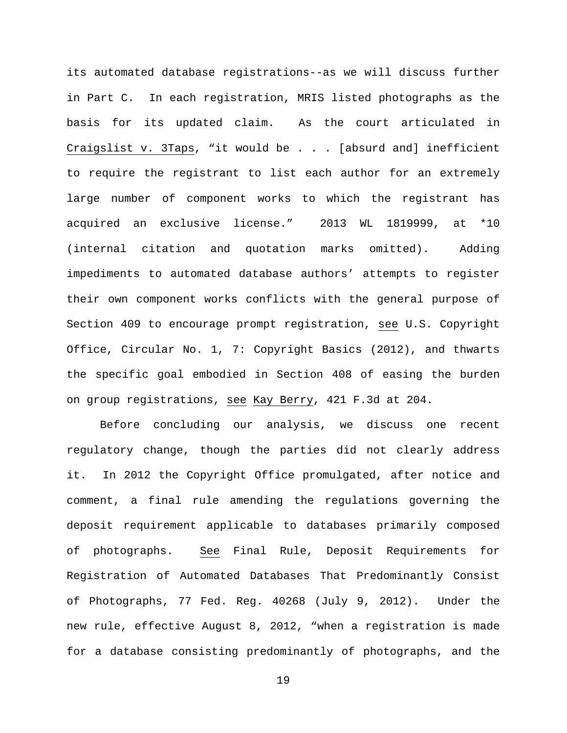its automated database registrations--as we will discuss further in Part C. In each registration, MRIS listed photographs as the basis for its updated claim. As the court articulated in Craigslist v. 3Taps, "it would be . . . [absurd and] inefficient to require the registrant to list each author for an extremely large number of component works to which the registrant has acquired an exclusive license." 2013 WL 1819999, at \*10 (internal citation and quotation marks omitted). Adding impediments to automated database authors' attempts to register their own component works conflicts with the general purpose of Section 409 to encourage prompt registration, see U.S. Copyright Office, Circular No. 1, 7: Copyright Basics (2012), and thwarts the specific goal embodied in Section 408 of easing the burden on group registrations, see Kay Berry, 421 F.3d at 204.

Before concluding our analysis, we discuss one recent regulatory change, though the parties did not clearly address it. In 2012 the Copyright Office promulgated, after notice and comment, a final rule amending the regulations governing the deposit requirement applicable to databases primarily composed of photographs. See Final Rule, Deposit Requirements for Registration of Automated Databases That Predominantly Consist of Photographs, 77 Fed. Reg. 40268 (July 9, 2012). Under the new rule, effective August 8, 2012, "when a registration is made for a database consisting predominantly of photographs, and the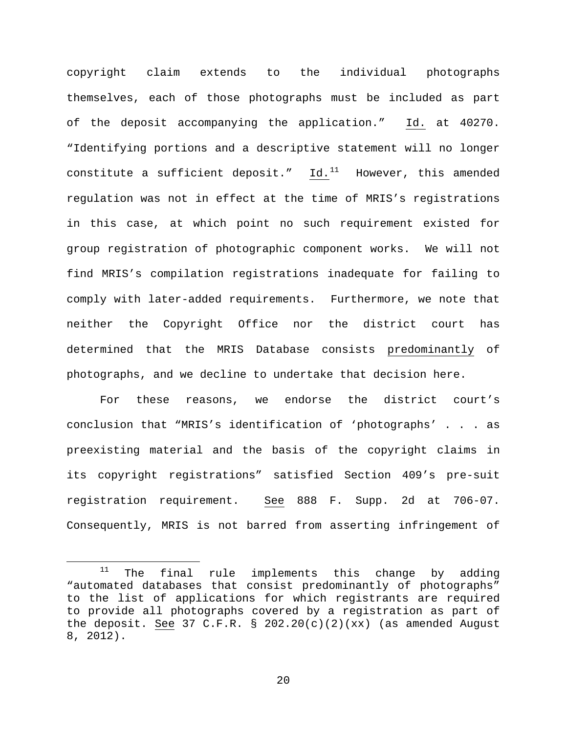copyright claim extends to the individual photographs themselves, each of those photographs must be included as part of the deposit accompanying the application." Id. at 40270. "Identifying portions and a descriptive statement will no longer constitute a sufficient deposit."  $Id.^{11}$  $Id.^{11}$  $Id.^{11}$  However, this amended regulation was not in effect at the time of MRIS's registrations in this case, at which point no such requirement existed for group registration of photographic component works. We will not find MRIS's compilation registrations inadequate for failing to comply with later-added requirements. Furthermore, we note that neither the Copyright Office nor the district court has determined that the MRIS Database consists predominantly of photographs, and we decline to undertake that decision here.

For these reasons, we endorse the district court's conclusion that "MRIS's identification of 'photographs' . . . as preexisting material and the basis of the copyright claims in its copyright registrations" satisfied Section 409's pre-suit registration requirement. See 888 F. Supp. 2d at 706-07. Consequently, MRIS is not barred from asserting infringement of

<span id="page-19-0"></span> $11$  The final rule implements this change by adding "automated databases that consist predominantly of photographs" to the list of applications for which registrants are required to provide all photographs covered by a registration as part of the deposit. See 37 C.F.R. § 202.20(c)(2)(xx) (as amended August 8, 2012).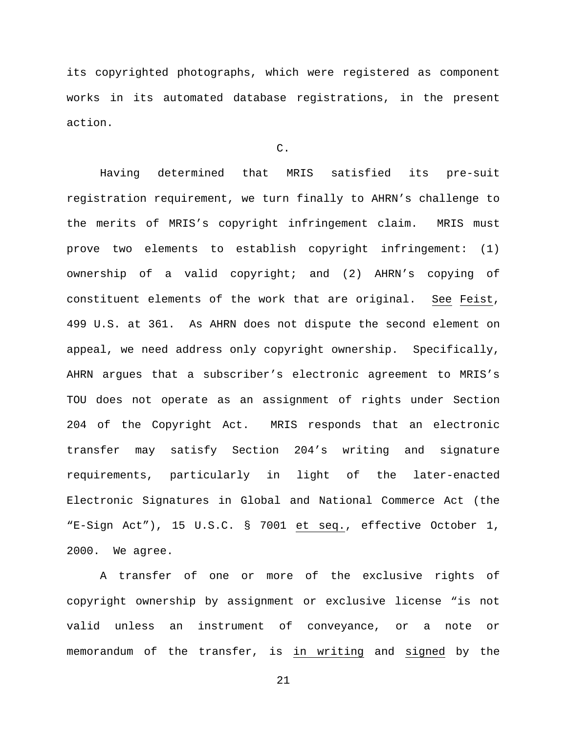its copyrighted photographs, which were registered as component works in its automated database registrations, in the present action.

# C.

Having determined that MRIS satisfied its pre-suit registration requirement, we turn finally to AHRN's challenge to the merits of MRIS's copyright infringement claim. MRIS must prove two elements to establish copyright infringement: (1) ownership of a valid copyright; and (2) AHRN's copying of constituent elements of the work that are original. See Feist, 499 U.S. at 361. As AHRN does not dispute the second element on appeal, we need address only copyright ownership. Specifically, AHRN argues that a subscriber's electronic agreement to MRIS's TOU does not operate as an assignment of rights under Section 204 of the Copyright Act. MRIS responds that an electronic transfer may satisfy Section 204's writing and signature requirements, particularly in light of the later-enacted Electronic Signatures in Global and National Commerce Act (the "E-Sign Act"), 15 U.S.C. § 7001 et seq., effective October 1, 2000. We agree.

A transfer of one or more of the exclusive rights of copyright ownership by assignment or exclusive license "is not valid unless an instrument of conveyance, or a note or memorandum of the transfer, is in writing and signed by the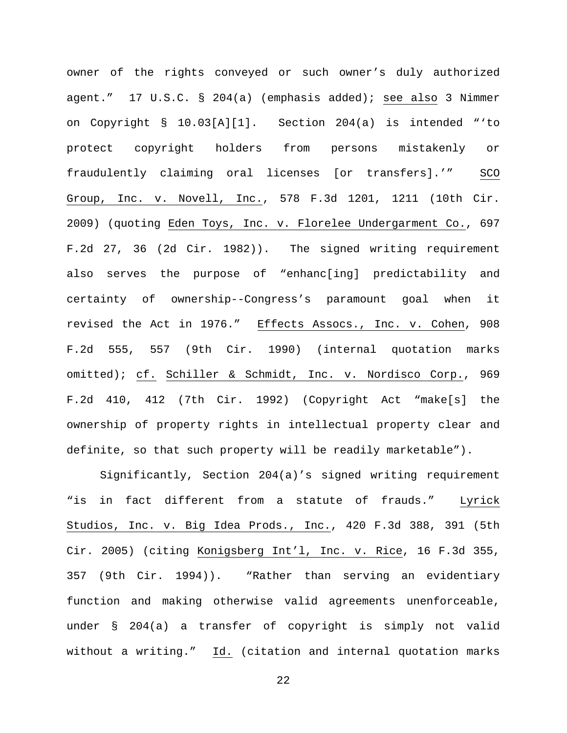owner of the rights conveyed or such owner's duly authorized agent." 17 U.S.C. § 204(a) (emphasis added); see also 3 Nimmer on Copyright § 10.03[A][1]. Section 204(a) is intended "'to protect copyright holders from persons mistakenly or fraudulently claiming oral licenses [or transfers].'" SCO Group, Inc. v. Novell, Inc., 578 F.3d 1201, 1211 (10th Cir. 2009) (quoting Eden Toys, Inc. v. Florelee Undergarment Co., 697 F.2d 27, 36 (2d Cir. 1982)). The signed writing requirement also serves the purpose of "enhanc[ing] predictability and certainty of ownership--Congress's paramount goal when it revised the Act in 1976." Effects Assocs., Inc. v. Cohen, 908 F.2d 555, 557 (9th Cir. 1990) (internal quotation marks omitted); cf. Schiller & Schmidt, Inc. v. Nordisco Corp., 969 F.2d 410, 412 (7th Cir. 1992) (Copyright Act "make[s] the ownership of property rights in intellectual property clear and definite, so that such property will be readily marketable").

Significantly, Section 204(a)'s signed writing requirement "is in fact different from a statute of frauds." Lyrick Studios, Inc. v. Big Idea Prods., Inc., 420 F.3d 388, 391 (5th Cir. 2005) (citing Konigsberg Int'l, Inc. v. Rice, 16 F.3d 355, 357 (9th Cir. 1994)). "Rather than serving an evidentiary function and making otherwise valid agreements unenforceable, under § 204(a) a transfer of copyright is simply not valid without a writing." Id. (citation and internal quotation marks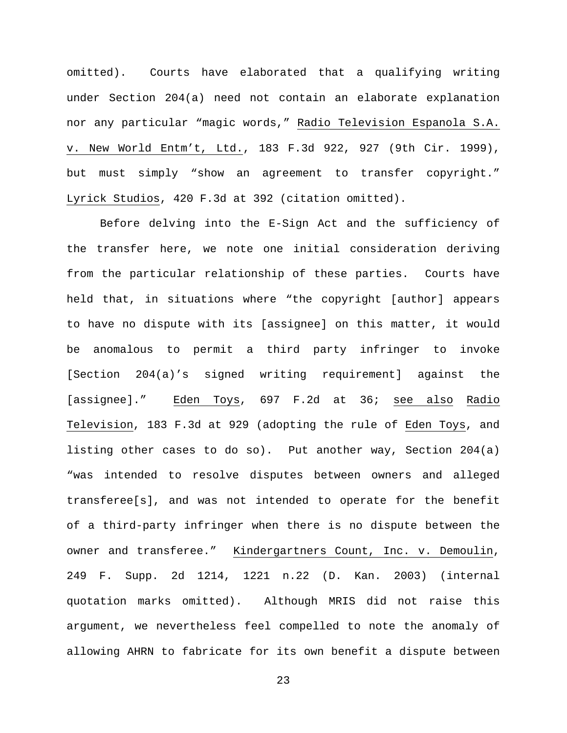omitted). Courts have elaborated that a qualifying writing under Section 204(a) need not contain an elaborate explanation nor any particular "magic words," Radio Television Espanola S.A. v. New World Entm't, Ltd., 183 F.3d 922, 927 (9th Cir. 1999), but must simply "show an agreement to transfer copyright." Lyrick Studios, 420 F.3d at 392 (citation omitted).

Before delving into the E-Sign Act and the sufficiency of the transfer here, we note one initial consideration deriving from the particular relationship of these parties. Courts have held that, in situations where "the copyright [author] appears to have no dispute with its [assignee] on this matter, it would be anomalous to permit a third party infringer to invoke [Section 204(a)'s signed writing requirement] against the [assignee]." Eden Toys, 697 F.2d at 36; see also Radio Television, 183 F.3d at 929 (adopting the rule of Eden Toys, and listing other cases to do so). Put another way, Section 204(a) "was intended to resolve disputes between owners and alleged transferee[s], and was not intended to operate for the benefit of a third-party infringer when there is no dispute between the owner and transferee." Kindergartners Count, Inc. v. Demoulin, 249 F. Supp. 2d 1214, 1221 n.22 (D. Kan. 2003) (internal quotation marks omitted). Although MRIS did not raise this argument, we nevertheless feel compelled to note the anomaly of allowing AHRN to fabricate for its own benefit a dispute between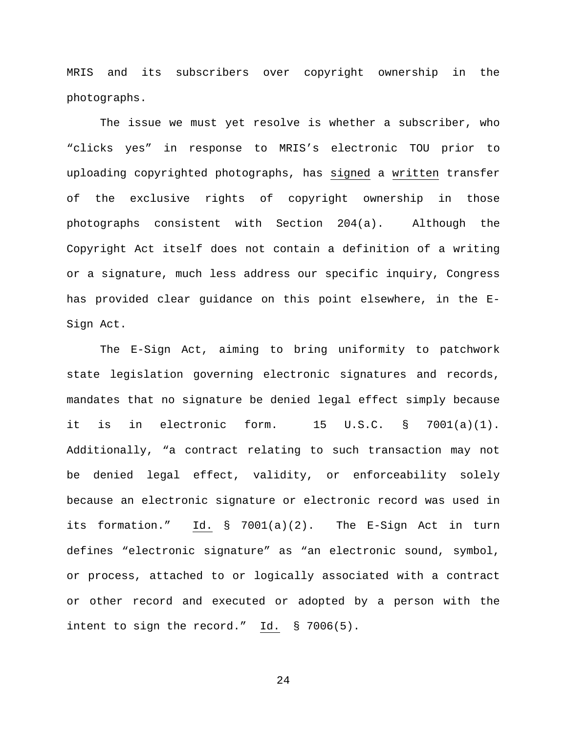MRIS and its subscribers over copyright ownership in the photographs.

The issue we must yet resolve is whether a subscriber, who "clicks yes" in response to MRIS's electronic TOU prior to uploading copyrighted photographs, has signed a written transfer of the exclusive rights of copyright ownership in those photographs consistent with Section 204(a). Although the Copyright Act itself does not contain a definition of a writing or a signature, much less address our specific inquiry, Congress has provided clear guidance on this point elsewhere, in the E-Sign Act.

The E-Sign Act, aiming to bring uniformity to patchwork state legislation governing electronic signatures and records, mandates that no signature be denied legal effect simply because it is in electronic form. 15 U.S.C. § 7001(a)(1). Additionally, "a contract relating to such transaction may not be denied legal effect, validity, or enforceability solely because an electronic signature or electronic record was used in its formation." Id. § 7001(a)(2). The E-Sign Act in turn defines "electronic signature" as "an electronic sound, symbol, or process, attached to or logically associated with a contract or other record and executed or adopted by a person with the intent to sign the record." Id. § 7006(5).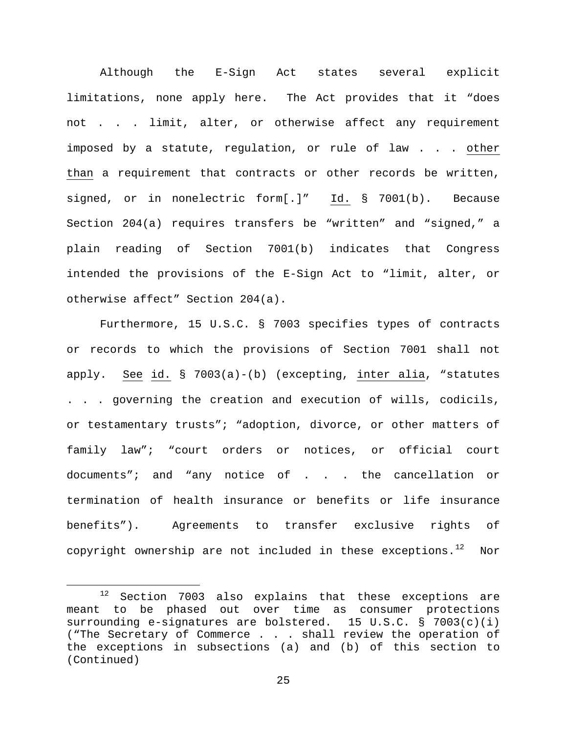Although the E-Sign Act states several explicit limitations, none apply here. The Act provides that it "does not . . . limit, alter, or otherwise affect any requirement imposed by a statute, regulation, or rule of law . . . other than a requirement that contracts or other records be written, signed, or in nonelectric form[.]" Id. § 7001(b). Because Section 204(a) requires transfers be "written" and "signed," a plain reading of Section 7001(b) indicates that Congress intended the provisions of the E-Sign Act to "limit, alter, or otherwise affect" Section 204(a).

Furthermore, 15 U.S.C. § 7003 specifies types of contracts or records to which the provisions of Section 7001 shall not apply. See id. § 7003(a)-(b) (excepting, inter alia, "statutes . . . governing the creation and execution of wills, codicils, or testamentary trusts"; "adoption, divorce, or other matters of family law"; "court orders or notices, or official court documents"; and "any notice of . . . the cancellation or termination of health insurance or benefits or life insurance benefits"). Agreements to transfer exclusive rights of copyright ownership are not included in these exceptions. $12$  Nor

<span id="page-24-0"></span> $12$  Section 7003 also explains that these exceptions are meant to be phased out over time as consumer protections surrounding e-signatures are bolstered. 15 U.S.C. § 7003(c)(i) ("The Secretary of Commerce . . . shall review the operation of the exceptions in subsections (a) and (b) of this section to (Continued)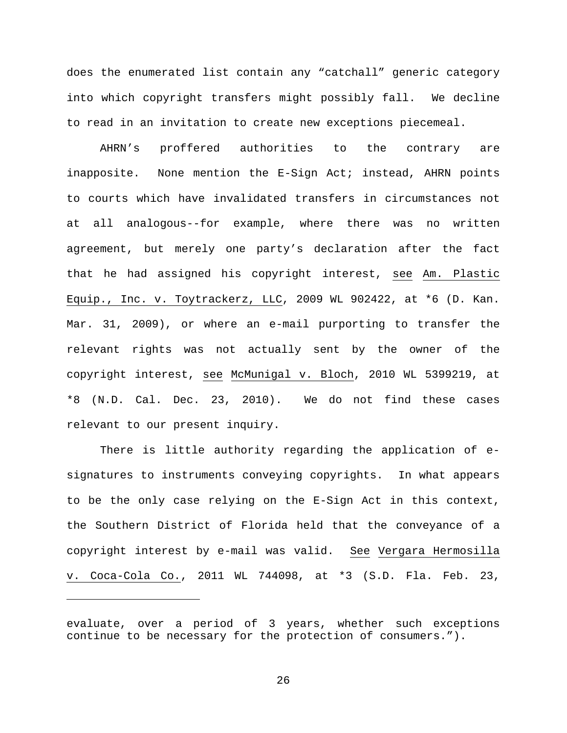does the enumerated list contain any "catchall" generic category into which copyright transfers might possibly fall. We decline to read in an invitation to create new exceptions piecemeal.

AHRN's proffered authorities to the contrary are inapposite. None mention the E-Sign Act; instead, AHRN points to courts which have invalidated transfers in circumstances not at all analogous--for example, where there was no written agreement, but merely one party's declaration after the fact that he had assigned his copyright interest, see Am. Plastic Equip., Inc. v. Toytrackerz, LLC, 2009 WL 902422, at \*6 (D. Kan. Mar. 31, 2009), or where an e-mail purporting to transfer the relevant rights was not actually sent by the owner of the copyright interest, see McMunigal v. Bloch, 2010 WL 5399219, at \*8 (N.D. Cal. Dec. 23, 2010). We do not find these cases relevant to our present inquiry.

There is little authority regarding the application of esignatures to instruments conveying copyrights. In what appears to be the only case relying on the E-Sign Act in this context, the Southern District of Florida held that the conveyance of a copyright interest by e-mail was valid. See Vergara Hermosilla v. Coca-Cola Co., 2011 WL 744098, at \*3 (S.D. Fla. Feb. 23,

Ĩ.

evaluate, over a period of 3 years, whether such exceptions continue to be necessary for the protection of consumers.").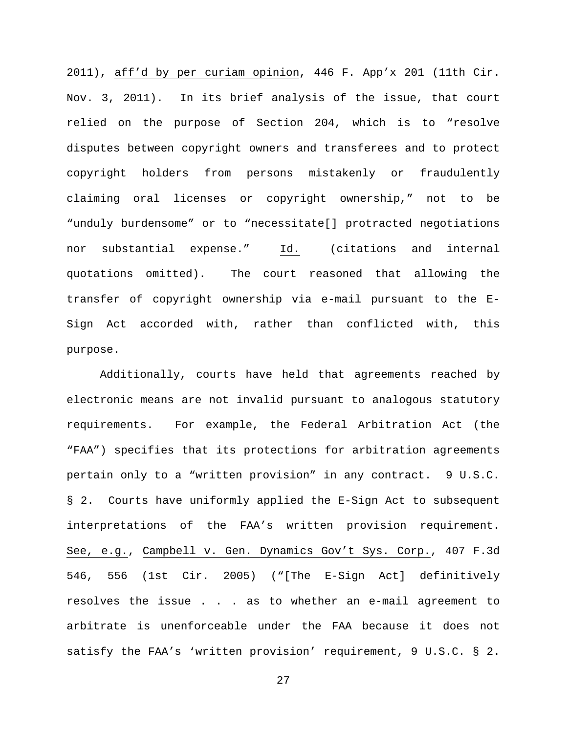2011), aff'd by per curiam opinion, 446 F. App'x 201 (11th Cir. Nov. 3, 2011). In its brief analysis of the issue, that court relied on the purpose of Section 204, which is to "resolve disputes between copyright owners and transferees and to protect copyright holders from persons mistakenly or fraudulently claiming oral licenses or copyright ownership," not to be "unduly burdensome" or to "necessitate[] protracted negotiations nor substantial expense." Id. (citations and internal quotations omitted). The court reasoned that allowing the transfer of copyright ownership via e-mail pursuant to the E-Sign Act accorded with, rather than conflicted with, this purpose.

Additionally, courts have held that agreements reached by electronic means are not invalid pursuant to analogous statutory requirements. For example, the Federal Arbitration Act (the "FAA") specifies that its protections for arbitration agreements pertain only to a "written provision" in any contract. 9 U.S.C. § 2. Courts have uniformly applied the E-Sign Act to subsequent interpretations of the FAA's written provision requirement. See, e.g., Campbell v. Gen. Dynamics Gov't Sys. Corp., 407 F.3d 546, 556 (1st Cir. 2005) ("[The E-Sign Act] definitively resolves the issue . . . as to whether an e-mail agreement to arbitrate is unenforceable under the FAA because it does not satisfy the FAA's 'written provision' requirement, 9 U.S.C. § 2.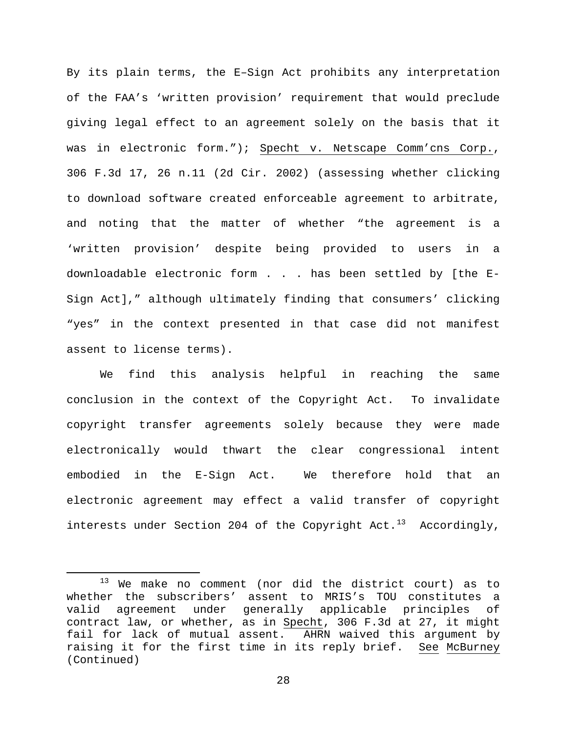By its plain terms, the E–Sign Act prohibits any interpretation of the FAA's 'written provision' requirement that would preclude giving legal effect to an agreement solely on the basis that it was in electronic form."); Specht v. Netscape Comm'cns Corp., 306 F.3d 17, 26 n.11 (2d Cir. 2002) (assessing whether clicking to download software created enforceable agreement to arbitrate, and noting that the matter of whether "the agreement is a 'written provision' despite being provided to users in a downloadable electronic form . . . has been settled by [the E-Sign Act]," although ultimately finding that consumers' clicking "yes" in the context presented in that case did not manifest assent to license terms).

We find this analysis helpful in reaching the same conclusion in the context of the Copyright Act. To invalidate copyright transfer agreements solely because they were made electronically would thwart the clear congressional intent embodied in the E-Sign Act. We therefore hold that an electronic agreement may effect a valid transfer of copyright interests under Section 204 of the Copyright Act. $^{13}$  $^{13}$  $^{13}$  Accordingly,

<span id="page-27-0"></span> <sup>13</sup> We make no comment (nor did the district court) as to whether the subscribers' assent to MRIS's TOU constitutes a valid agreement under generally applicable principles of contract law, or whether, as in Specht, 306 F.3d at 27, it might fail for lack of mutual assent. AHRN waived this argument by raising it for the first time in its reply brief. See McBurney (Continued)